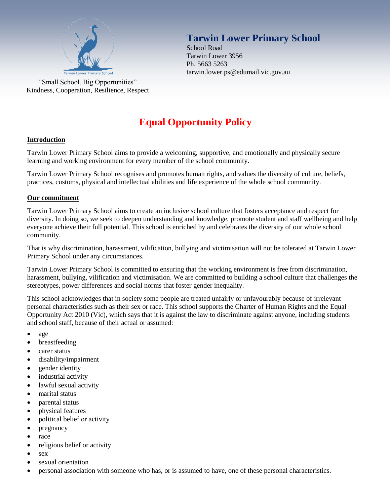

"Small School, Big Opportunities" Kindness, Cooperation, Resilience, Respect

# **Tarwin Lower Primary School**

School Road Tarwin Lower 3956 Ph. 5663 5263 tarwin.lower.ps@edumail.vic.gov.au

# **Equal Opportunity Policy**

# **Introduction**

Tarwin Lower Primary School aims to provide a welcoming, supportive, and emotionally and physically secure learning and working environment for every member of the school community.

Tarwin Lower Primary School recognises and promotes human rights, and values the diversity of culture, beliefs, practices, customs, physical and intellectual abilities and life experience of the whole school community.

# **Our commitment**

Tarwin Lower Primary School aims to create an inclusive school culture that fosters acceptance and respect for diversity. In doing so, we seek to deepen understanding and knowledge, promote student and staff wellbeing and help everyone achieve their full potential. This school is enriched by and celebrates the diversity of our whole school community.

That is why discrimination, harassment, vilification, bullying and victimisation will not be tolerated at Tarwin Lower Primary School under any circumstances.

Tarwin Lower Primary School is committed to ensuring that the working environment is free from discrimination, harassment, bullying, vilification and victimisation. We are committed to building a school culture that challenges the stereotypes, power differences and social norms that foster gender inequality.

This school acknowledges that in society some people are treated unfairly or unfavourably because of irrelevant personal characteristics such as their sex or race. This school supports the Charter of Human Rights and the Equal Opportunity Act 2010 (Vic), which says that it is against the law to discriminate against anyone, including students and school staff, because of their actual or assumed:

- [age](http://www.equalopportunitycommission.vic.gov.au/types%20of%20discrimination/age/default.asp)
- [breastfeeding](http://www.equalopportunitycommission.vic.gov.au/types%20of%20discrimination/pregnancy%20and%20breastfeeding/default.asp)
- [carer status](http://www.equalopportunitycommission.vic.gov.au/types%20of%20discrimination/carer%20and%20parental%20status/default.asp)
- [disability/impairment](http://www.equalopportunitycommission.vic.gov.au/types%20of%20discrimination/disability/default.asp)
- [gender identity](http://www.equalopportunitycommission.vic.gov.au/types%20of%20discrimination/gender%20identity/default.asp)
- [industrial activity](http://www.equalopportunitycommission.vic.gov.au/types%20of%20discrimination/industrial%20activity/default.asp)
- [lawful sexual activity](http://www.equalopportunitycommission.vic.gov.au/types%20of%20discrimination/sexual%20orientation/default.asp)
- [marital status](http://www.equalopportunitycommission.vic.gov.au/types%20of%20discrimination/marital%20status/default.asp)
- [parental status](http://www.equalopportunitycommission.vic.gov.au/types%20of%20discrimination/carer%20and%20parental%20status/default.asp)
- [physical features](http://www.equalopportunitycommission.vic.gov.au/types%20of%20discrimination/physical%20features/default.asp)
- [political belief or activity](http://www.equalopportunitycommission.vic.gov.au/types%20of%20discrimination/political%20belief%20or%20activity/default.asp)
- $\bullet$  [pregnancy](http://www.equalopportunitycommission.vic.gov.au/types%20of%20discrimination/pregnancy%20and%20breastfeeding/default.asp)
- [race](http://www.equalopportunitycommission.vic.gov.au/types%20of%20discrimination/race/default.asp)
- [religious belief or activity](http://www.equalopportunitycommission.vic.gov.au/types%20of%20discrimination/religious%20belief%20or%20activity/default.asp)
- $\bullet$  [sex](http://www.equalopportunitycommission.vic.gov.au/types%20of%20discrimination/sex/default.asp)
- [sexual orientation](http://www.equalopportunitycommission.vic.gov.au/types%20of%20discrimination/sexual%20orientation/default.asp)
- [personal association](http://www.equalopportunitycommission.vic.gov.au/types%20of%20discrimination/personal%20association/default.asp) with someone who has, or is assumed to have, one of these personal characteristics.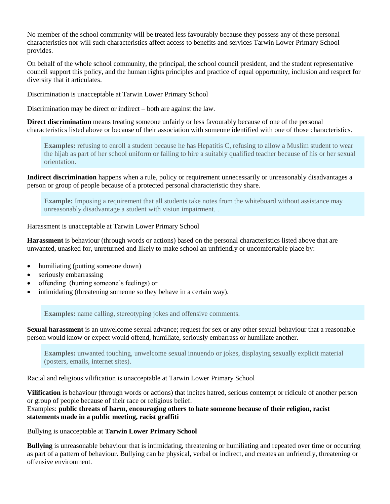No member of the school community will be treated less favourably because they possess any of these personal characteristics nor will such characteristics affect access to benefits and services Tarwin Lower Primary School provides.

On behalf of the whole school community, the principal, the school council president, and the student representative council support this policy, and the human rights principles and practice of equal opportunity, inclusion and respect for diversity that it articulates.

Discrimination is unacceptable at Tarwin Lower Primary School

Discrimination may be direct or indirect – both are against the law.

**Direct discrimination** means treating someone unfairly or less favourably because of one of the personal characteristics listed above or because of their association with someone identified with one of those characteristics.

**Examples:** refusing to enroll a student because he has Hepatitis C, refusing to allow a Muslim student to wear the hijab as part of her school uniform or failing to hire a suitably qualified teacher because of his or her sexual orientation.

**Indirect discrimination** happens when a rule, policy or requirement unnecessarily or unreasonably disadvantages a person or group of people because of a protected personal characteristic they share.

**Example:** Imposing a requirement that all students take notes from the whiteboard without assistance may unreasonably disadvantage a student with vision impairment. .

Harassment is unacceptable at Tarwin Lower Primary School

**Harassment** is behaviour (through words or actions) based on the personal characteristics listed above that are unwanted, unasked for, unreturned and likely to make school an unfriendly or uncomfortable place by:

- humiliating (putting someone down)
- seriously embarrassing
- offending (hurting someone's feelings) or
- intimidating (threatening someone so they behave in a certain way).

**Examples:** name calling, stereotyping jokes and offensive comments.

**Sexual harassment** is an unwelcome sexual advance; request for sex or any other sexual behaviour that a reasonable person would know or expect would offend, humiliate, seriously embarrass or humiliate another.

**Examples:** unwanted touching, unwelcome sexual innuendo or jokes, displaying sexually explicit material (posters, emails, internet sites).

Racial and religious vilification is unacceptable at Tarwin Lower Primary School

**Vilification** is behaviour (through words or actions) that incites hatred, serious contempt or ridicule of another person or group of people because of their race or religious belief.

Examples: **public threats of harm, encouraging others to hate someone because of their religion, racist statements made in a public meeting, racist graffiti**

Bullying is unacceptable at **Tarwin Lower Primary School**

**Bullying** is unreasonable behaviour that is intimidating, threatening or humiliating and repeated over time or occurring as part of a pattern of behaviour. Bullying can be physical, verbal or indirect, and creates an unfriendly, threatening or offensive environment.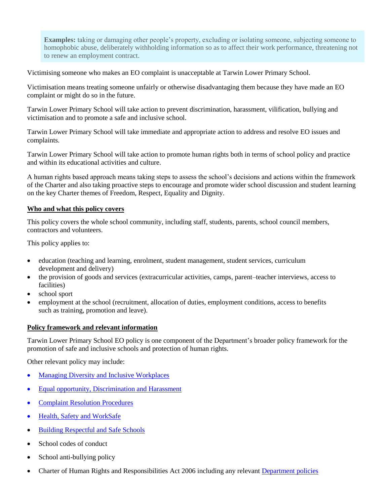**Examples:** taking or damaging other people's property, excluding or isolating someone, subjecting someone to homophobic abuse, deliberately withholding information so as to affect their work performance, threatening not to renew an employment contract.

Victimising someone who makes an EO complaint is unacceptable at Tarwin Lower Primary School.

Victimisation means treating someone unfairly or otherwise disadvantaging them because they have made an EO complaint or might do so in the future.

Tarwin Lower Primary School will take action to prevent discrimination, harassment, vilification, bullying and victimisation and to promote a safe and inclusive school.

Tarwin Lower Primary School will take immediate and appropriate action to address and resolve EO issues and complaints.

Tarwin Lower Primary School will take action to promote human rights both in terms of school policy and practice and within its educational activities and culture.

A human rights based approach means taking steps to assess the school's decisions and actions within the framework of the Charter and also taking proactive steps to encourage and promote wider school discussion and student learning on the key Charter themes of Freedom, Respect, Equality and Dignity.

#### **Who and what this policy covers**

This policy covers the whole school community, including staff, students, parents, school council members, contractors and volunteers.

This policy applies to:

- education (teaching and learning, enrolment, student management, student services, curriculum development and delivery)
- the provision of goods and services (extracurricular activities, camps, parent–teacher interviews, access to facilities)
- school sport
- employment at the school (recruitment, allocation of duties, employment conditions, access to benefits such as training, promotion and leave).

#### **Policy framework and relevant information**

Tarwin Lower Primary School EO policy is one component of the Department's broader policy framework for the promotion of safe and inclusive schools and protection of human rights.

Other relevant policy may include:

- [Managing Diversity and Inclusive Workplaces](http://www.education.vic.gov.au/hrweb/divequity/divman.htm)
- [Equal opportunity, Discrimination and Harassment](http://www.education.vic.gov.au/hrweb/divequity/eeo/discrim.htm)
- [Complaint Resolution Procedures](http://www.education.vic.gov.au/hrweb/workm/perform/conduct.htm)
- Health, Safety [and WorkSafe](http://www.education.vic.gov.au/hr/ohs/default.htm)
- [Building Respectful and Safe Schools](http://www.education.vic.gov.au/healthwellbeing/respectfulsafe/default.htm)
- School codes of conduct
- School anti-bullying policy
- Charter of Human Rights and Responsibilities Act 2006 including any relevant [Department policies](http://www.education.vic.gov.au/hrweb/workm/other/human_rights.htm)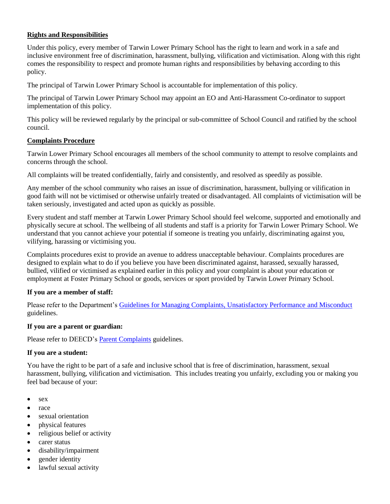# **Rights and Responsibilities**

Under this policy, every member of Tarwin Lower Primary School has the right to learn and work in a safe and inclusive environment free of discrimination, harassment, bullying, vilification and victimisation. Along with this right comes the responsibility to respect and promote human rights and responsibilities by behaving according to this policy.

The principal of Tarwin Lower Primary School is accountable for implementation of this policy.

The principal of Tarwin Lower Primary School may appoint an EO and Anti-Harassment Co-ordinator to support implementation of this policy.

This policy will be reviewed regularly by the principal or sub-committee of School Council and ratified by the school council.

#### **Complaints Procedure**

Tarwin Lower Primary School encourages all members of the school community to attempt to resolve complaints and concerns through the school.

All complaints will be treated confidentially, fairly and consistently, and resolved as speedily as possible.

Any member of the school community who raises an issue of discrimination, harassment, bullying or vilification in good faith will not be victimised or otherwise unfairly treated or disadvantaged. All complaints of victimisation will be taken seriously, investigated and acted upon as quickly as possible.

Every student and staff member at Tarwin Lower Primary School should feel welcome, supported and emotionally and physically secure at school. The wellbeing of all students and staff is a priority for Tarwin Lower Primary School. We understand that you cannot achieve your potential if someone is treating you unfairly, discriminating against you, vilifying, harassing or victimising you.

Complaints procedures exist to provide an avenue to address unacceptable behaviour. Complaints procedures are designed to explain what to do if you believe you have been discriminated against, harassed, sexually harassed, bullied, vilified or victimised as explained earlier in this policy and your complaint is about your education or employment at Foster Primary School or goods, services or sport provided by Tarwin Lower Primary School.

# **If you are a member of staff:**

Please refer to the Department's [Guidelines for Managing Complaints, Unsatisfactory Performance and Misconduct](http://www.education.vic.gov.au/hrweb/workm/perform/conduct.htm) guidelines.

#### **If you are a parent or guardian:**

Please refer to DEECD's **Parent Complaints** guidelines.

# **If you are a student:**

You have the right to be part of a safe and inclusive school that is free of discrimination, harassment, sexual harassment, bullying, vilification and victimisation. This includes treating you unfairly, excluding you or making you feel bad because of your:

- $\bullet$  [sex](http://www.equalopportunitycommission.vic.gov.au/types%20of%20discrimination/sex/default.asp)
- [race](http://www.equalopportunitycommission.vic.gov.au/types%20of%20discrimination/race/default.asp)
- [sexual orientation](http://www.equalopportunitycommission.vic.gov.au/types%20of%20discrimination/sexual%20orientation/default.asp)
- [physical features](http://www.equalopportunitycommission.vic.gov.au/types%20of%20discrimination/physical%20features/default.asp)
- [religious belief or activity](http://www.equalopportunitycommission.vic.gov.au/types%20of%20discrimination/religious%20belief%20or%20activity/default.asp)
- [carer status](http://www.equalopportunitycommission.vic.gov.au/types%20of%20discrimination/carer%20and%20parental%20status/default.asp)
- [disability/impairment](http://www.equalopportunitycommission.vic.gov.au/types%20of%20discrimination/disability/default.asp)
- [gender identity](http://www.equalopportunitycommission.vic.gov.au/types%20of%20discrimination/gender%20identity/default.asp)
- [lawful sexual activity](http://www.equalopportunitycommission.vic.gov.au/types%20of%20discrimination/sexual%20orientation/default.asp)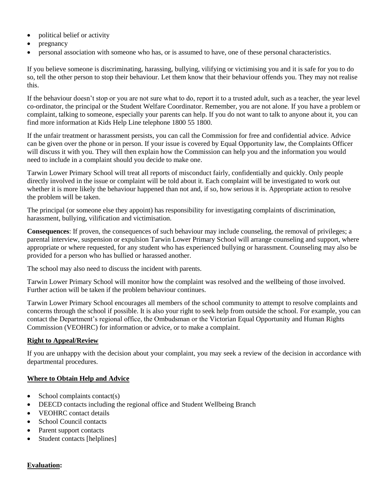- [political belief or activity](http://www.equalopportunitycommission.vic.gov.au/types%20of%20discrimination/political%20belief%20or%20activity/default.asp)
- [pregnancy](http://www.equalopportunitycommission.vic.gov.au/types%20of%20discrimination/pregnancy%20and%20breastfeeding/default.asp)
- [personal association](http://www.equalopportunitycommission.vic.gov.au/types%20of%20discrimination/personal%20association/default.asp) with someone who has, or is assumed to have, one of these personal characteristics.

If you believe someone is discriminating, harassing, bullying, vilifying or victimising you and it is safe for you to do so, tell the other person to stop their behaviour. Let them know that their behaviour offends you. They may not realise this.

If the behaviour doesn't stop or you are not sure what to do, report it to a trusted adult, such as a teacher, the year level co-ordinator, the principal or the Student Welfare Coordinator. Remember, you are not alone. If you have a problem or complaint, talking to someone, especially your parents can help. If you do not want to talk to anyone about it, you can find more information at Kids Help Line telephone 1800 55 1800.

If the unfair treatment or harassment persists, you can call the Commission for free and confidential advice. Advice can be given over the phone or in person. If your issue is covered by Equal Opportunity law, the Complaints Officer will discuss it with you. They will then explain how the Commission can help you and the information you would need to include in a complaint should you decide to make one.

Tarwin Lower Primary School will treat all reports of misconduct fairly, confidentially and quickly. Only people directly involved in the issue or complaint will be told about it. Each complaint will be investigated to work out whether it is more likely the behaviour happened than not and, if so, how serious it is. Appropriate action to resolve the problem will be taken.

The principal (or someone else they appoint) has responsibility for investigating complaints of discrimination, harassment, bullying, vilification and victimisation.

**Consequences**: If proven, the consequences of such behaviour may include counseling, the removal of privileges; a parental interview, suspension or expulsion Tarwin Lower Primary School will arrange counseling and support, where appropriate or where requested, for any student who has experienced bullying or harassment. Counseling may also be provided for a person who has bullied or harassed another.

The school may also need to discuss the incident with parents.

Tarwin Lower Primary School will monitor how the complaint was resolved and the wellbeing of those involved. Further action will be taken if the problem behaviour continues.

Tarwin Lower Primary School encourages all members of the school community to attempt to resolve complaints and concerns through the school if possible. It is also your right to seek help from outside the school. For example, you can contact the Department's regional office, the Ombudsman or the Victorian Equal Opportunity and Human Rights Commission (VEOHRC) for information or advice, or to make a complaint.

# **Right to Appeal/Review**

If you are unhappy with the decision about your complaint, you may seek a review of the decision in accordance with departmental procedures.

#### **Where to Obtain Help and Advice**

- $\bullet$  School complaints contact(s)
- DEECD contacts including the regional office and Student Wellbeing Branch
- VEOHRC contact details
- School Council contacts
- Parent support contacts
- Student contacts [helplines]

# **Evaluation:**